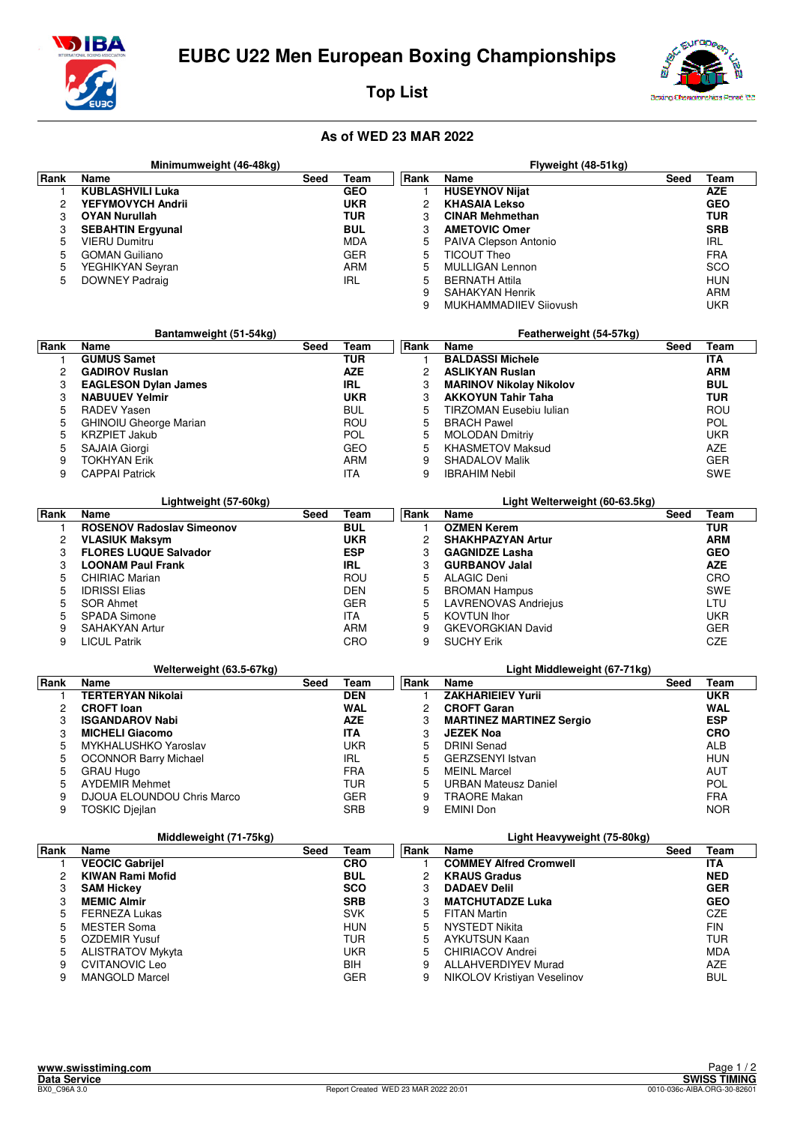



**Top List**



## **As of WED 23 MAR 2022**

|             | Minimumweight (46-48kg)              |      |            |                | Flyweight (48-51kg)                           |      |            |  |  |
|-------------|--------------------------------------|------|------------|----------------|-----------------------------------------------|------|------------|--|--|
| Rank        | Name                                 | Seed | Team       | Rank           | Name                                          | Seed | Team       |  |  |
| 1           | <b>KUBLASHVILI Luka</b>              |      | <b>GEO</b> | 1              | <b>HUSEYNOV Nijat</b>                         |      | <b>AZE</b> |  |  |
| 2           | YEFYMOVYCH Andrii                    |      | <b>UKR</b> | $\overline{c}$ | <b>KHASAIA Lekso</b>                          |      | <b>GEO</b> |  |  |
| 3           | <b>OYAN Nurullah</b>                 |      | <b>TUR</b> | 3              | <b>CINAR Mehmethan</b>                        |      | TUR        |  |  |
| 3           | <b>SEBAHTIN Ergyunal</b>             |      | <b>BUL</b> | 3              | <b>AMETOVIC Omer</b>                          |      | <b>SRB</b> |  |  |
| 5           | <b>VIERU Dumitru</b>                 |      | <b>MDA</b> | 5              | PAIVA Clepson Antonio                         |      | <b>IRL</b> |  |  |
| 5           | <b>GOMAN Guiliano</b>                |      | <b>GER</b> | 5              | <b>TICOUT Theo</b>                            |      | <b>FRA</b> |  |  |
| 5           | YEGHIKYAN Seyran                     |      | <b>ARM</b> | 5              | <b>MULLIGAN Lennon</b>                        |      | SCO        |  |  |
| 5           | DOWNEY Padraig                       |      | <b>IRL</b> | 5              | <b>BERNATH Attila</b>                         |      | <b>HUN</b> |  |  |
|             |                                      |      |            | 9              | <b>SAHAKYAN Henrik</b>                        |      | ARM        |  |  |
|             |                                      |      |            | 9              | MUKHAMMADIIEV Siiovush                        |      | UKR        |  |  |
|             |                                      |      |            |                |                                               |      |            |  |  |
|             | Bantamweight (51-54kg)               |      |            |                | Featherweight (54-57kg)                       |      |            |  |  |
| Rank        | Name                                 | Seed | Team       | Rank           | Name                                          | Seed | Team       |  |  |
| 1           | <b>GUMUS Samet</b>                   |      | <b>TUR</b> | 1              | <b>BALDASSI Michele</b>                       |      | <b>ITA</b> |  |  |
| 2           | <b>GADIROV Ruslan</b>                |      | <b>AZE</b> | $\overline{c}$ | <b>ASLIKYAN Ruslan</b>                        |      | <b>ARM</b> |  |  |
| 3           | <b>EAGLESON Dylan James</b>          |      | <b>IRL</b> | 3              | <b>MARINOV Nikolay Nikolov</b>                |      | <b>BUL</b> |  |  |
| 3           | <b>NABUUEV Yelmir</b>                |      | <b>UKR</b> | 3              | <b>AKKOYUN Tahir Taha</b>                     |      | <b>TUR</b> |  |  |
| 5           | <b>RADEV Yasen</b>                   |      | <b>BUL</b> | 5              | TIRZOMAN Eusebiu Iulian                       |      | ROU        |  |  |
| 5           | <b>GHINOIU Gheorge Marian</b>        |      | ROU        | 5              | <b>BRACH Pawel</b>                            |      | <b>POL</b> |  |  |
| 5           | <b>KRZPIET Jakub</b>                 |      | POL        | 5              | <b>MOLODAN Dmitriy</b>                        |      | UKR        |  |  |
| 5           | SAJAIA Giorgi                        |      | <b>GEO</b> | 5              | <b>KHASMETOV Maksud</b>                       |      | <b>AZE</b> |  |  |
| 9           | <b>TOKHYAN Erik</b>                  |      | <b>ARM</b> | 9              | <b>SHADALOV Malik</b>                         |      | GER        |  |  |
| 9           | <b>CAPPAI Patrick</b>                |      | <b>ITA</b> | 9              | <b>IBRAHIM Nebil</b>                          |      | SWE        |  |  |
|             |                                      |      |            |                |                                               |      |            |  |  |
| Rank        | Lightweight (57-60kg)<br><b>Name</b> | Seed | Team       | Rank           | Light Welterweight (60-63.5kg)<br><b>Name</b> | Seed | Team       |  |  |
| 1           | <b>ROSENOV Radoslav Simeonov</b>     |      | <b>BUL</b> | 1              | <b>OZMEN Kerem</b>                            |      | <b>TUR</b> |  |  |
| 2           | <b>VLASIUK Maksym</b>                |      | <b>UKR</b> | $\overline{c}$ | <b>SHAKHPAZYAN Artur</b>                      |      | <b>ARM</b> |  |  |
| 3           | <b>FLORES LUQUE Salvador</b>         |      | <b>ESP</b> | 3              | <b>GAGNIDZE Lasha</b>                         |      | <b>GEO</b> |  |  |
| 3           | <b>LOONAM Paul Frank</b>             |      | <b>IRL</b> | 3              | <b>GURBANOV Jalal</b>                         |      | <b>AZE</b> |  |  |
| 5           | <b>CHIRIAC Marian</b>                |      | <b>ROU</b> | 5              | <b>ALAGIC Deni</b>                            |      | CRO        |  |  |
| 5           | <b>IDRISSI Elias</b>                 |      | <b>DEN</b> | 5              | <b>BROMAN Hampus</b>                          |      | SWE        |  |  |
| 5           | SOR Ahmet                            |      | <b>GER</b> | 5              | <b>LAVRENOVAS Andriejus</b>                   |      | LTU        |  |  |
| 5           | <b>SPADA Simone</b>                  |      | <b>ITA</b> | 5              | <b>KOVTUN Ihor</b>                            |      | UKR        |  |  |
| 9           | <b>SAHAKYAN Artur</b>                |      | <b>ARM</b> | 9              | <b>GKEVORGKIAN David</b>                      |      | <b>GER</b> |  |  |
| 9           | <b>LICUL Patrik</b>                  |      | CRO        | 9              | <b>SUCHY Erik</b>                             |      | CZE        |  |  |
|             |                                      |      |            |                |                                               |      |            |  |  |
|             | Welterweight (63.5-67kg)             |      |            |                | Light Middleweight (67-71kg)                  |      |            |  |  |
| Rank        | <b>Name</b>                          | Seed | Team       | Rank           | Name                                          | Seed | Team       |  |  |
| 1           | <b>TERTERYAN Nikolai</b>             |      | <b>DEN</b> | 1              | <b>ZAKHARIEIEV Yurii</b>                      |      | <b>UKR</b> |  |  |
| 2           | <b>CROFT loan</b>                    |      | <b>WAL</b> | $\overline{c}$ | <b>CROFT Garan</b>                            |      | WAL        |  |  |
| 3           | <b>ISGANDAROV Nabi</b>               |      | <b>AZE</b> | 3              | <b>MARTINEZ MARTINEZ Sergio</b>               |      | <b>ESP</b> |  |  |
| 3           | <b>MICHELI Giacomo</b>               |      | <b>ITA</b> | 3              | <b>JEZEK Noa</b>                              |      | <b>CRO</b> |  |  |
| 5           | MYKHALUSHKO Yaroslav                 |      | <b>UKR</b> | 5              | <b>DRINI</b> Senad                            |      | ALB        |  |  |
| 5           | <b>OCONNOR Barry Michael</b>         |      | IRL        | 5              | <b>GERZSENYI Istvan</b>                       |      | HUN        |  |  |
| 5           | <b>GRAU Hugo</b>                     |      | <b>FRA</b> | 5              | <b>MEINL Marcel</b>                           |      | AUT        |  |  |
| 5           | <b>AYDEMIR Mehmet</b>                |      | TUR        | 5              | <b>URBAN Mateusz Daniel</b>                   |      | POL        |  |  |
| 9           | DJOUA ELOUNDOU Chris Marco           |      | GER        | 9              | <b>TRAORE Makan</b>                           |      | <b>FRA</b> |  |  |
| 9           | <b>TOSKIC Djejlan</b>                |      | SRB        | 9              | <b>EMINI Don</b>                              |      | <b>NOR</b> |  |  |
|             |                                      |      |            |                |                                               |      |            |  |  |
|             | Middleweight (71-75kg)               |      |            |                | Light Heavyweight (75-80kg)                   |      |            |  |  |
| Rank        | Name                                 | Seed | Team       | Rank           | Name                                          | Seed | Team       |  |  |
| $\mathbf 1$ | <b>VEOCIC Gabrijel</b>               |      | <b>CRO</b> |                | <b>COMMEY Alfred Cromwell</b>                 |      | ITA        |  |  |

| ank | Name                     | Seed | Team       | Rank | Name                          | Seed | Team       |  |
|-----|--------------------------|------|------------|------|-------------------------------|------|------------|--|
|     | <b>VEOCIC Gabrijel</b>   |      | <b>CRO</b> |      | <b>COMMEY Alfred Cromwell</b> |      | ITA        |  |
|     | KIWAN Rami Mofid         |      | <b>BUL</b> | 2    | <b>KRAUS Gradus</b>           |      | <b>NED</b> |  |
|     | <b>SAM Hickey</b>        |      | <b>SCO</b> | 3    | <b>DADAEV Delil</b>           |      | <b>GER</b> |  |
|     | <b>MEMIC Almir</b>       |      | <b>SRB</b> | 3    | <b>MATCHUTADZE Luka</b>       |      | <b>GEO</b> |  |
| 5   | <b>FERNEZA Lukas</b>     |      | <b>SVK</b> | 5.   | FITAN Martin                  |      | CZE        |  |
| 5   | MESTER Soma              |      | <b>HUN</b> | 5    | NYSTEDT Nikita                |      | <b>FIN</b> |  |
| 5   | OZDEMIR Yusuf            |      | TUR        | 5    | AYKUTSUN Kaan                 |      | TUR        |  |
| 5   | <b>ALISTRATOV Mykyta</b> |      | UKR.       | 5    | <b>CHIRIACOV Andrei</b>       |      | <b>MDA</b> |  |
| 9   | CVITANOVIC Leo           |      | <b>BIH</b> | 9    | <b>ALLAHVERDIYEV Murad</b>    |      | <b>AZE</b> |  |
|     | <b>MANGOLD Marcel</b>    |      | <b>GER</b> | 9    | NIKOLOV Kristiyan Veselinov   |      | <b>BUL</b> |  |
|     |                          |      |            |      |                               |      |            |  |